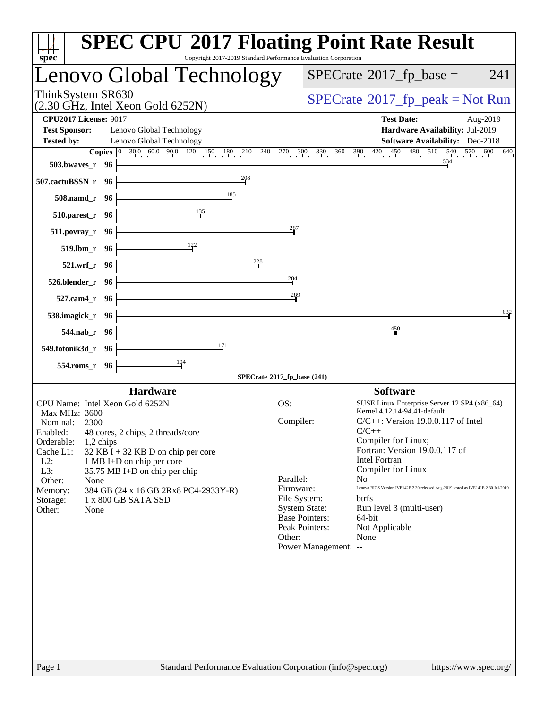| <b>SPEC CPU®2017 Floating Point Rate Result</b><br>spec<br>Copyright 2017-2019 Standard Performance Evaluation Corporation                                                                                                                                                                                                                                                                                                                                                                                    |                                                                                                                                                                                                                                                                                                                                                                                                                                                                                                |
|---------------------------------------------------------------------------------------------------------------------------------------------------------------------------------------------------------------------------------------------------------------------------------------------------------------------------------------------------------------------------------------------------------------------------------------------------------------------------------------------------------------|------------------------------------------------------------------------------------------------------------------------------------------------------------------------------------------------------------------------------------------------------------------------------------------------------------------------------------------------------------------------------------------------------------------------------------------------------------------------------------------------|
| Lenovo Global Technology                                                                                                                                                                                                                                                                                                                                                                                                                                                                                      | $SPECrate^{\circledast}2017$ _fp_base =<br>241                                                                                                                                                                                                                                                                                                                                                                                                                                                 |
| ThinkSystem SR630<br>(2.30 GHz, Intel Xeon Gold 6252N)                                                                                                                                                                                                                                                                                                                                                                                                                                                        | $SPECrate^{\circ}2017$ _fp_peak = Not Run                                                                                                                                                                                                                                                                                                                                                                                                                                                      |
| <b>CPU2017 License: 9017</b><br><b>Test Sponsor:</b><br>Lenovo Global Technology                                                                                                                                                                                                                                                                                                                                                                                                                              | <b>Test Date:</b><br>Aug-2019<br>Hardware Availability: Jul-2019                                                                                                                                                                                                                                                                                                                                                                                                                               |
| <b>Tested by:</b><br>Lenovo Global Technology                                                                                                                                                                                                                                                                                                                                                                                                                                                                 | <b>Software Availability:</b> Dec-2018                                                                                                                                                                                                                                                                                                                                                                                                                                                         |
| <b>Copies</b> $\begin{bmatrix} 0 & 30.0 & 60.0 & 90.0 & 120 & 150 & 180 & 210 & 240 & 270 & 300 & 330 & 360 & 390 & 420 & 450 & 480 & 510 & 540 & 570 & 600 & 640 \end{bmatrix}$<br>503.bwaves_r 96                                                                                                                                                                                                                                                                                                           |                                                                                                                                                                                                                                                                                                                                                                                                                                                                                                |
| 208<br>507.cactuBSSN_r 96                                                                                                                                                                                                                                                                                                                                                                                                                                                                                     |                                                                                                                                                                                                                                                                                                                                                                                                                                                                                                |
| 185<br>508.namd_r 96<br>135                                                                                                                                                                                                                                                                                                                                                                                                                                                                                   |                                                                                                                                                                                                                                                                                                                                                                                                                                                                                                |
| 510.parest_r 96<br>$^{287}$<br>$511. povray_r$ 96                                                                                                                                                                                                                                                                                                                                                                                                                                                             |                                                                                                                                                                                                                                                                                                                                                                                                                                                                                                |
| 519.1bm r 96                                                                                                                                                                                                                                                                                                                                                                                                                                                                                                  |                                                                                                                                                                                                                                                                                                                                                                                                                                                                                                |
| 228<br>521.wrf r 96                                                                                                                                                                                                                                                                                                                                                                                                                                                                                           |                                                                                                                                                                                                                                                                                                                                                                                                                                                                                                |
| 284<br>526.blender_r 96<br>289                                                                                                                                                                                                                                                                                                                                                                                                                                                                                |                                                                                                                                                                                                                                                                                                                                                                                                                                                                                                |
| 527.cam4_r 96<br>538.imagick_r 96                                                                                                                                                                                                                                                                                                                                                                                                                                                                             | 632                                                                                                                                                                                                                                                                                                                                                                                                                                                                                            |
| 544.nab_r 96                                                                                                                                                                                                                                                                                                                                                                                                                                                                                                  | $\frac{450}{5}$                                                                                                                                                                                                                                                                                                                                                                                                                                                                                |
| 171<br>549.fotonik3d_r 96                                                                                                                                                                                                                                                                                                                                                                                                                                                                                     |                                                                                                                                                                                                                                                                                                                                                                                                                                                                                                |
| 104<br>554.roms_r 96<br>SPECrate®2017_fp_base (241)                                                                                                                                                                                                                                                                                                                                                                                                                                                           |                                                                                                                                                                                                                                                                                                                                                                                                                                                                                                |
| <b>Hardware</b>                                                                                                                                                                                                                                                                                                                                                                                                                                                                                               | <b>Software</b>                                                                                                                                                                                                                                                                                                                                                                                                                                                                                |
| CPU Name: Intel Xeon Gold 6252N<br>OS:<br>Max MHz: 3600<br>Compiler:<br>Nominal:<br>2300<br>Enabled: 48 cores, 2 chips, 2 threads/core<br>Orderable:<br>$1,2$ chips<br>Cache L1:<br>$32$ KB I + 32 KB D on chip per core<br>$L2$ :<br>1 MB I+D on chip per core<br>L3:<br>35.75 MB I+D on chip per chip<br>Parallel:<br>Other:<br>None<br>Firmware:<br>384 GB (24 x 16 GB 2Rx8 PC4-2933Y-R)<br>Memory:<br>File System:<br>1 x 800 GB SATA SSD<br>Storage:<br><b>System State:</b><br>Other:<br>None<br>Other: | SUSE Linux Enterprise Server 12 SP4 (x86_64)<br>Kernel 4.12.14-94.41-default<br>$C/C++$ : Version 19.0.0.117 of Intel<br>$C/C_{++}$<br>Compiler for Linux;<br>Fortran: Version 19.0.0.117 of<br><b>Intel Fortran</b><br>Compiler for Linux<br>N <sub>0</sub><br>Lenovo BIOS Version IVE142E 2.30 released Aug-2019 tested as IVE141E 2.30 Jul-2019<br>btrfs<br>Run level 3 (multi-user)<br><b>Base Pointers:</b><br>64-bit<br>Peak Pointers:<br>Not Applicable<br>None<br>Power Management: -- |
| Standard Performance Evaluation Corporation (info@spec.org)<br>Page 1                                                                                                                                                                                                                                                                                                                                                                                                                                         | https://www.spec.org/                                                                                                                                                                                                                                                                                                                                                                                                                                                                          |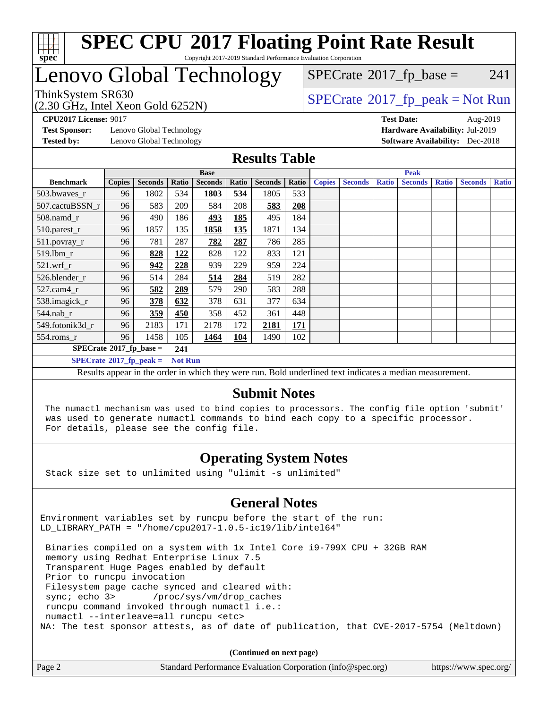

#### **[SPEC CPU](http://www.spec.org/auto/cpu2017/Docs/result-fields.html#SPECCPU2017FloatingPointRateResult)[2017 Floating Point Rate Result](http://www.spec.org/auto/cpu2017/Docs/result-fields.html#SPECCPU2017FloatingPointRateResult)** Copyright 2017-2019 Standard Performance Evaluation Corporation

## Lenovo Global Technology

(2.30 GHz, Intel Xeon Gold 6252N)

 $SPECTate$ <sup>®</sup>[2017\\_fp\\_base =](http://www.spec.org/auto/cpu2017/Docs/result-fields.html#SPECrate2017fpbase) 241

## $SPECTate@2017_fp\_peak = Not Run$

**[Test Sponsor:](http://www.spec.org/auto/cpu2017/Docs/result-fields.html#TestSponsor)** Lenovo Global Technology **[Hardware Availability:](http://www.spec.org/auto/cpu2017/Docs/result-fields.html#HardwareAvailability)** Jul-2019

**[CPU2017 License:](http://www.spec.org/auto/cpu2017/Docs/result-fields.html#CPU2017License)** 9017 **[Test Date:](http://www.spec.org/auto/cpu2017/Docs/result-fields.html#TestDate)** Aug-2019 **[Tested by:](http://www.spec.org/auto/cpu2017/Docs/result-fields.html#Testedby)** Lenovo Global Technology **[Software Availability:](http://www.spec.org/auto/cpu2017/Docs/result-fields.html#SoftwareAvailability)** Dec-2018

#### **[Results Table](http://www.spec.org/auto/cpu2017/Docs/result-fields.html#ResultsTable)**

|                                           | <b>Base</b>   |                |                |                | <b>Peak</b> |                |       |               |                |              |                |              |                |              |
|-------------------------------------------|---------------|----------------|----------------|----------------|-------------|----------------|-------|---------------|----------------|--------------|----------------|--------------|----------------|--------------|
| <b>Benchmark</b>                          | <b>Copies</b> | <b>Seconds</b> | Ratio          | <b>Seconds</b> | Ratio       | <b>Seconds</b> | Ratio | <b>Copies</b> | <b>Seconds</b> | <b>Ratio</b> | <b>Seconds</b> | <b>Ratio</b> | <b>Seconds</b> | <b>Ratio</b> |
| 503.bwaves_r                              | 96            | 1802           | 534            | 1803           | 534         | 1805           | 533   |               |                |              |                |              |                |              |
| 507.cactuBSSN r                           | 96            | 583            | 209            | 584            | 208         | 583            | 208   |               |                |              |                |              |                |              |
| 508.namd_r                                | 96            | 490            | 186            | 493            | 185         | 495            | 184   |               |                |              |                |              |                |              |
| 510.parest_r                              | 96            | 1857           | 135            | 1858           | 135         | 1871           | 134   |               |                |              |                |              |                |              |
| 511.povray_r                              | 96            | 781            | 287            | 782            | 287         | 786            | 285   |               |                |              |                |              |                |              |
| 519.lbm r                                 | 96            | 828            | 122            | 828            | 122         | 833            | 121   |               |                |              |                |              |                |              |
| $521$ .wrf r                              | 96            | 942            | 228            | 939            | 229         | 959            | 224   |               |                |              |                |              |                |              |
| 526.blender r                             | 96            | 514            | 284            | 514            | 284         | 519            | 282   |               |                |              |                |              |                |              |
| $527.cam4_r$                              | 96            | 582            | 289            | 579            | 290         | 583            | 288   |               |                |              |                |              |                |              |
| 538.imagick_r                             | 96            | 378            | 632            | 378            | 631         | 377            | 634   |               |                |              |                |              |                |              |
| $544$ .nab r                              | 96            | 359            | 450            | 358            | 452         | 361            | 448   |               |                |              |                |              |                |              |
| 549.fotonik3d r                           | 96            | 2183           | 171            | 2178           | 172         | 2181           | 171   |               |                |              |                |              |                |              |
| $554$ .roms_r                             | 96            | 1458           | 105            | 1464           | 104         | 1490           | 102   |               |                |              |                |              |                |              |
| $SPECrate^{\otimes}2017$ fp base =<br>241 |               |                |                |                |             |                |       |               |                |              |                |              |                |              |
| $SPECrate^{\circ}2017$ fp peak =          |               |                | <b>Not Run</b> |                |             |                |       |               |                |              |                |              |                |              |

Results appear in the [order in which they were run](http://www.spec.org/auto/cpu2017/Docs/result-fields.html#RunOrder). Bold underlined text [indicates a median measurement](http://www.spec.org/auto/cpu2017/Docs/result-fields.html#Median).

#### **[Submit Notes](http://www.spec.org/auto/cpu2017/Docs/result-fields.html#SubmitNotes)**

 The numactl mechanism was used to bind copies to processors. The config file option 'submit' was used to generate numactl commands to bind each copy to a specific processor. For details, please see the config file.

### **[Operating System Notes](http://www.spec.org/auto/cpu2017/Docs/result-fields.html#OperatingSystemNotes)**

Stack size set to unlimited using "ulimit -s unlimited"

#### **[General Notes](http://www.spec.org/auto/cpu2017/Docs/result-fields.html#GeneralNotes)**

Environment variables set by runcpu before the start of the run: LD LIBRARY PATH = "/home/cpu2017-1.0.5-ic19/lib/intel64"

 Binaries compiled on a system with 1x Intel Core i9-799X CPU + 32GB RAM memory using Redhat Enterprise Linux 7.5 Transparent Huge Pages enabled by default Prior to runcpu invocation Filesystem page cache synced and cleared with: sync; echo 3> /proc/sys/vm/drop\_caches runcpu command invoked through numactl i.e.: numactl --interleave=all runcpu <etc> NA: The test sponsor attests, as of date of publication, that CVE-2017-5754 (Meltdown)

**(Continued on next page)**

|  | Page 2 | Standard Performance Evaluation Corporation (info@spec.org) | https://www.spec.org/ |
|--|--------|-------------------------------------------------------------|-----------------------|
|--|--------|-------------------------------------------------------------|-----------------------|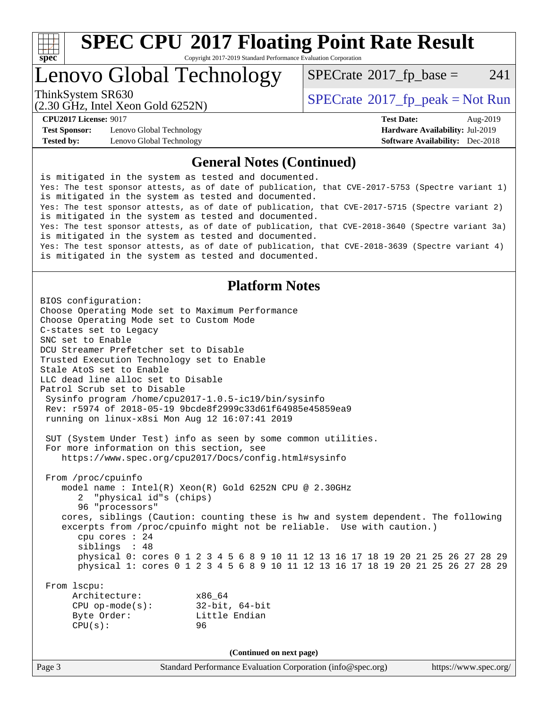

# **[SPEC CPU](http://www.spec.org/auto/cpu2017/Docs/result-fields.html#SPECCPU2017FloatingPointRateResult)[2017 Floating Point Rate Result](http://www.spec.org/auto/cpu2017/Docs/result-fields.html#SPECCPU2017FloatingPointRateResult)**

Copyright 2017-2019 Standard Performance Evaluation Corporation

## Lenovo Global Technology

 $SPECTate$ <sup>®</sup>[2017\\_fp\\_base =](http://www.spec.org/auto/cpu2017/Docs/result-fields.html#SPECrate2017fpbase) 241

(2.30 GHz, Intel Xeon Gold 6252N)

ThinkSystem SR630<br>  $SPECTI<sub>2</sub> Intel Yeso Gold 6252N$ 

**[Test Sponsor:](http://www.spec.org/auto/cpu2017/Docs/result-fields.html#TestSponsor)** Lenovo Global Technology **[Hardware Availability:](http://www.spec.org/auto/cpu2017/Docs/result-fields.html#HardwareAvailability)** Jul-2019 **[Tested by:](http://www.spec.org/auto/cpu2017/Docs/result-fields.html#Testedby)** Lenovo Global Technology **[Software Availability:](http://www.spec.org/auto/cpu2017/Docs/result-fields.html#SoftwareAvailability)** Dec-2018

**[CPU2017 License:](http://www.spec.org/auto/cpu2017/Docs/result-fields.html#CPU2017License)** 9017 **[Test Date:](http://www.spec.org/auto/cpu2017/Docs/result-fields.html#TestDate)** Aug-2019

#### **[General Notes \(Continued\)](http://www.spec.org/auto/cpu2017/Docs/result-fields.html#GeneralNotes)**

is mitigated in the system as tested and documented. Yes: The test sponsor attests, as of date of publication, that CVE-2017-5753 (Spectre variant 1) is mitigated in the system as tested and documented. Yes: The test sponsor attests, as of date of publication, that CVE-2017-5715 (Spectre variant 2) is mitigated in the system as tested and documented. Yes: The test sponsor attests, as of date of publication, that CVE-2018-3640 (Spectre variant 3a) is mitigated in the system as tested and documented. Yes: The test sponsor attests, as of date of publication, that CVE-2018-3639 (Spectre variant 4) is mitigated in the system as tested and documented.

#### **[Platform Notes](http://www.spec.org/auto/cpu2017/Docs/result-fields.html#PlatformNotes)**

Page 3 Standard Performance Evaluation Corporation [\(info@spec.org\)](mailto:info@spec.org) <https://www.spec.org/> BIOS configuration: Choose Operating Mode set to Maximum Performance Choose Operating Mode set to Custom Mode C-states set to Legacy SNC set to Enable DCU Streamer Prefetcher set to Disable Trusted Execution Technology set to Enable Stale AtoS set to Enable LLC dead line alloc set to Disable Patrol Scrub set to Disable Sysinfo program /home/cpu2017-1.0.5-ic19/bin/sysinfo Rev: r5974 of 2018-05-19 9bcde8f2999c33d61f64985e45859ea9 running on linux-x8si Mon Aug 12 16:07:41 2019 SUT (System Under Test) info as seen by some common utilities. For more information on this section, see <https://www.spec.org/cpu2017/Docs/config.html#sysinfo> From /proc/cpuinfo model name : Intel(R) Xeon(R) Gold 6252N CPU @ 2.30GHz 2 "physical id"s (chips) 96 "processors" cores, siblings (Caution: counting these is hw and system dependent. The following excerpts from /proc/cpuinfo might not be reliable. Use with caution.) cpu cores : 24 siblings : 48 physical 0: cores 0 1 2 3 4 5 6 8 9 10 11 12 13 16 17 18 19 20 21 25 26 27 28 29 physical 1: cores 0 1 2 3 4 5 6 8 9 10 11 12 13 16 17 18 19 20 21 25 26 27 28 29 From lscpu: Architecture: x86\_64 CPU op-mode(s): 32-bit, 64-bit Byte Order: Little Endian CPU(s): 96 **(Continued on next page)**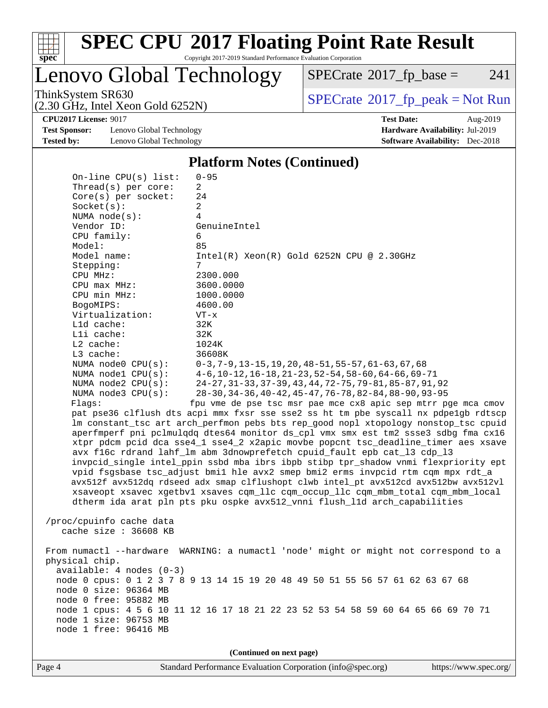

# **[SPEC CPU](http://www.spec.org/auto/cpu2017/Docs/result-fields.html#SPECCPU2017FloatingPointRateResult)[2017 Floating Point Rate Result](http://www.spec.org/auto/cpu2017/Docs/result-fields.html#SPECCPU2017FloatingPointRateResult)**

Copyright 2017-2019 Standard Performance Evaluation Corporation

Lenovo Global Technology

 $SPECTate@2017_fp\_base = 241$ 

(2.30 GHz, Intel Xeon Gold 6252N)

ThinkSystem SR630<br>  $(2, 30 \text{ GHz})$  Intel Xeon Gold 6252N)

**[Test Sponsor:](http://www.spec.org/auto/cpu2017/Docs/result-fields.html#TestSponsor)** Lenovo Global Technology **[Hardware Availability:](http://www.spec.org/auto/cpu2017/Docs/result-fields.html#HardwareAvailability)** Jul-2019 **[Tested by:](http://www.spec.org/auto/cpu2017/Docs/result-fields.html#Testedby)** Lenovo Global Technology **[Software Availability:](http://www.spec.org/auto/cpu2017/Docs/result-fields.html#SoftwareAvailability)** Dec-2018

**[CPU2017 License:](http://www.spec.org/auto/cpu2017/Docs/result-fields.html#CPU2017License)** 9017 **[Test Date:](http://www.spec.org/auto/cpu2017/Docs/result-fields.html#TestDate)** Aug-2019

#### **[Platform Notes \(Continued\)](http://www.spec.org/auto/cpu2017/Docs/result-fields.html#PlatformNotes)**

| On-line $CPU(s)$ list:                                                              | $0 - 95$                                                                             |  |  |  |  |
|-------------------------------------------------------------------------------------|--------------------------------------------------------------------------------------|--|--|--|--|
| Thread(s) per core:                                                                 | $\overline{2}$                                                                       |  |  |  |  |
| $Core(s)$ per socket:                                                               | 24                                                                                   |  |  |  |  |
| Socket(s):                                                                          | 2                                                                                    |  |  |  |  |
| NUMA $node(s):$                                                                     | $\overline{4}$                                                                       |  |  |  |  |
| Vendor ID:                                                                          | GenuineIntel                                                                         |  |  |  |  |
| CPU family:                                                                         | 6                                                                                    |  |  |  |  |
| Model:                                                                              | 85                                                                                   |  |  |  |  |
| Model name:                                                                         | $Intel(R) Xeon(R) Gold 6252N CPU @ 2.30GHz$                                          |  |  |  |  |
| Stepping:                                                                           | 7                                                                                    |  |  |  |  |
| CPU MHz:                                                                            | 2300.000                                                                             |  |  |  |  |
| CPU max MHz:                                                                        | 3600.0000                                                                            |  |  |  |  |
| CPU min MHz:                                                                        | 1000.0000                                                                            |  |  |  |  |
| BogoMIPS:                                                                           | 4600.00                                                                              |  |  |  |  |
| Virtualization:                                                                     | $VT - x$                                                                             |  |  |  |  |
| L1d cache:                                                                          | 32K                                                                                  |  |  |  |  |
| Lli cache:                                                                          | 32K                                                                                  |  |  |  |  |
| $L2$ cache:                                                                         | 1024K                                                                                |  |  |  |  |
| L3 cache:                                                                           | 36608K                                                                               |  |  |  |  |
| NUMA node0 CPU(s):                                                                  | $0-3, 7-9, 13-15, 19, 20, 48-51, 55-57, 61-63, 67, 68$                               |  |  |  |  |
| NUMA nodel $CPU(s):$                                                                | $4-6$ , 10-12, 16-18, 21-23, 52-54, 58-60, 64-66, 69-71                              |  |  |  |  |
| NUMA node2 CPU(s):                                                                  | 24-27, 31-33, 37-39, 43, 44, 72-75, 79-81, 85-87, 91, 92                             |  |  |  |  |
| NUMA $node3$ CPU $(s)$ :                                                            | 28-30, 34-36, 40-42, 45-47, 76-78, 82-84, 88-90, 93-95                               |  |  |  |  |
| Flaqs:                                                                              | fpu vme de pse tsc msr pae mce cx8 apic sep mtrr pge mca cmov                        |  |  |  |  |
| pat pse36 clflush dts acpi mmx fxsr sse sse2 ss ht tm pbe syscall nx pdpelgb rdtscp |                                                                                      |  |  |  |  |
|                                                                                     | lm constant_tsc art arch_perfmon pebs bts rep_good nopl xtopology nonstop_tsc cpuid  |  |  |  |  |
|                                                                                     | aperfmperf pni pclmulqdq dtes64 monitor ds_cpl vmx smx est tm2 ssse3 sdbg fma cx16   |  |  |  |  |
|                                                                                     | xtpr pdcm pcid dca sse4_1 sse4_2 x2apic movbe popcnt tsc_deadline_timer aes xsave    |  |  |  |  |
|                                                                                     | avx f16c rdrand lahf_lm abm 3dnowprefetch cpuid_fault epb cat_13 cdp_13              |  |  |  |  |
|                                                                                     | invpcid_single intel_ppin ssbd mba ibrs ibpb stibp tpr_shadow vnmi flexpriority ept  |  |  |  |  |
|                                                                                     | vpid fsgsbase tsc_adjust bmil hle avx2 smep bmi2 erms invpcid rtm cqm mpx rdt_a      |  |  |  |  |
|                                                                                     | avx512f avx512dq rdseed adx smap clflushopt clwb intel_pt avx512cd avx512bw avx512vl |  |  |  |  |
|                                                                                     | xsaveopt xsavec xgetbvl xsaves cqm_llc cqm_occup_llc cqm_mbm_total cqm_mbm_local     |  |  |  |  |
|                                                                                     | dtherm ida arat pln pts pku ospke avx512_vnni flush_lld arch_capabilities            |  |  |  |  |
|                                                                                     |                                                                                      |  |  |  |  |
| /proc/cpuinfo cache data                                                            |                                                                                      |  |  |  |  |
| cache size : 36608 KB                                                               |                                                                                      |  |  |  |  |
|                                                                                     |                                                                                      |  |  |  |  |
|                                                                                     | From numactl --hardware WARNING: a numactl 'node' might or might not correspond to a |  |  |  |  |
| physical chip.                                                                      |                                                                                      |  |  |  |  |
| $available: 4 nodes (0-3)$                                                          |                                                                                      |  |  |  |  |
|                                                                                     | node 0 cpus: 0 1 2 3 7 8 9 13 14 15 19 20 48 49 50 51 55 56 57 61 62 63 67 68        |  |  |  |  |
| node 0 size: 96364 MB                                                               |                                                                                      |  |  |  |  |
| node 0 free: 95882 MB                                                               |                                                                                      |  |  |  |  |
|                                                                                     | node 1 cpus: 4 5 6 10 11 12 16 17 18 21 22 23 52 53 54 58 59 60 64 65 66 69 70 71    |  |  |  |  |
| node 1 size: 96753 MB                                                               |                                                                                      |  |  |  |  |
| node 1 free: 96416 MB                                                               |                                                                                      |  |  |  |  |
|                                                                                     |                                                                                      |  |  |  |  |
|                                                                                     | (Continued on next page)                                                             |  |  |  |  |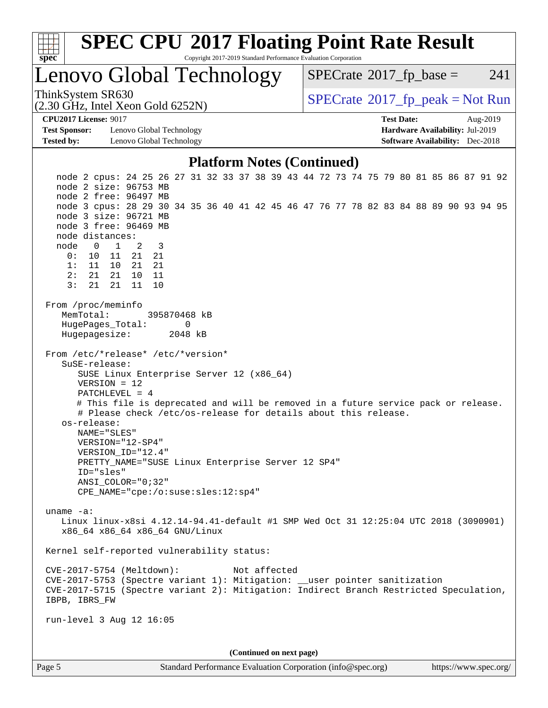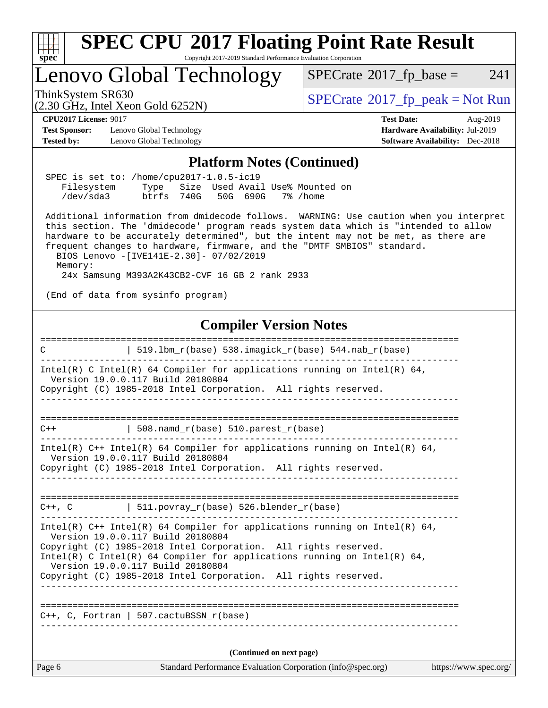

 Version 19.0.0.117 Build 20180804 Copyright (C) 1985-2018 Intel Corporation. All rights reserved. Intel(R) C Intel(R) 64 Compiler for applications running on Intel(R)  $64$ , Version 19.0.0.117 Build 20180804 Copyright (C) 1985-2018 Intel Corporation. All rights reserved.

============================================================================== C++, C, Fortran | 507.cactuBSSN\_r(base) ------------------------------------------------------------------------------

------------------------------------------------------------------------------

**(Continued on next page)**

Page 6 Standard Performance Evaluation Corporation [\(info@spec.org\)](mailto:info@spec.org) <https://www.spec.org/>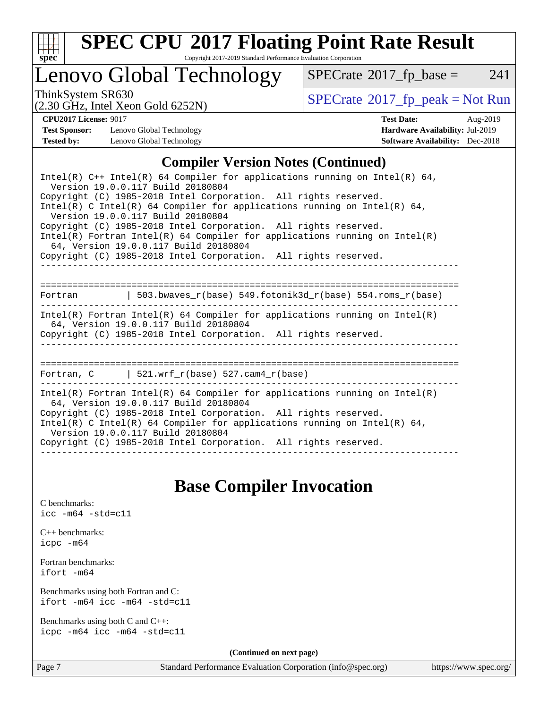

# **[SPEC CPU](http://www.spec.org/auto/cpu2017/Docs/result-fields.html#SPECCPU2017FloatingPointRateResult)[2017 Floating Point Rate Result](http://www.spec.org/auto/cpu2017/Docs/result-fields.html#SPECCPU2017FloatingPointRateResult)**

Copyright 2017-2019 Standard Performance Evaluation Corporation

## Lenovo Global Technology

 $SPECTate$ <sup>®</sup>[2017\\_fp\\_base =](http://www.spec.org/auto/cpu2017/Docs/result-fields.html#SPECrate2017fpbase) 241

(2.30 GHz, Intel Xeon Gold 6252N)

ThinkSystem SR630<br>  $\begin{array}{c}\n\text{SPECrate} \textcirc 2017\_fp\_peak = Not Run \\
\text{SPECrate} \textcirc 2017\_fp\_peak = Not Run\n\end{array}$  $\begin{array}{c}\n\text{SPECrate} \textcirc 2017\_fp\_peak = Not Run \\
\text{SPECrate} \textcirc 2017\_fp\_peak = Not Run\n\end{array}$  $\begin{array}{c}\n\text{SPECrate} \textcirc 2017\_fp\_peak = Not Run \\
\text{SPECrate} \textcirc 2017\_fp\_peak = Not Run\n\end{array}$ 

**[Test Sponsor:](http://www.spec.org/auto/cpu2017/Docs/result-fields.html#TestSponsor)** Lenovo Global Technology **[Hardware Availability:](http://www.spec.org/auto/cpu2017/Docs/result-fields.html#HardwareAvailability)** Jul-2019 **[Tested by:](http://www.spec.org/auto/cpu2017/Docs/result-fields.html#Testedby)** Lenovo Global Technology **[Software Availability:](http://www.spec.org/auto/cpu2017/Docs/result-fields.html#SoftwareAvailability)** Dec-2018

**[CPU2017 License:](http://www.spec.org/auto/cpu2017/Docs/result-fields.html#CPU2017License)** 9017 **[Test Date:](http://www.spec.org/auto/cpu2017/Docs/result-fields.html#TestDate)** Aug-2019

### **[Compiler Version Notes \(Continued\)](http://www.spec.org/auto/cpu2017/Docs/result-fields.html#CompilerVersionNotes)**

## **[Base Compiler Invocation](http://www.spec.org/auto/cpu2017/Docs/result-fields.html#BaseCompilerInvocation)**

[C benchmarks](http://www.spec.org/auto/cpu2017/Docs/result-fields.html#Cbenchmarks): [icc -m64 -std=c11](http://www.spec.org/cpu2017/results/res2019q3/cpu2017-20190819-17103.flags.html#user_CCbase_intel_icc_64bit_c11_33ee0cdaae7deeeab2a9725423ba97205ce30f63b9926c2519791662299b76a0318f32ddfffdc46587804de3178b4f9328c46fa7c2b0cd779d7a61945c91cd35)

[C++ benchmarks:](http://www.spec.org/auto/cpu2017/Docs/result-fields.html#CXXbenchmarks) [icpc -m64](http://www.spec.org/cpu2017/results/res2019q3/cpu2017-20190819-17103.flags.html#user_CXXbase_intel_icpc_64bit_4ecb2543ae3f1412ef961e0650ca070fec7b7afdcd6ed48761b84423119d1bf6bdf5cad15b44d48e7256388bc77273b966e5eb805aefd121eb22e9299b2ec9d9)

[Fortran benchmarks](http://www.spec.org/auto/cpu2017/Docs/result-fields.html#Fortranbenchmarks): [ifort -m64](http://www.spec.org/cpu2017/results/res2019q3/cpu2017-20190819-17103.flags.html#user_FCbase_intel_ifort_64bit_24f2bb282fbaeffd6157abe4f878425411749daecae9a33200eee2bee2fe76f3b89351d69a8130dd5949958ce389cf37ff59a95e7a40d588e8d3a57e0c3fd751)

[Benchmarks using both Fortran and C](http://www.spec.org/auto/cpu2017/Docs/result-fields.html#BenchmarksusingbothFortranandC): [ifort -m64](http://www.spec.org/cpu2017/results/res2019q3/cpu2017-20190819-17103.flags.html#user_CC_FCbase_intel_ifort_64bit_24f2bb282fbaeffd6157abe4f878425411749daecae9a33200eee2bee2fe76f3b89351d69a8130dd5949958ce389cf37ff59a95e7a40d588e8d3a57e0c3fd751) [icc -m64 -std=c11](http://www.spec.org/cpu2017/results/res2019q3/cpu2017-20190819-17103.flags.html#user_CC_FCbase_intel_icc_64bit_c11_33ee0cdaae7deeeab2a9725423ba97205ce30f63b9926c2519791662299b76a0318f32ddfffdc46587804de3178b4f9328c46fa7c2b0cd779d7a61945c91cd35)

[Benchmarks using both C and C++](http://www.spec.org/auto/cpu2017/Docs/result-fields.html#BenchmarksusingbothCandCXX): [icpc -m64](http://www.spec.org/cpu2017/results/res2019q3/cpu2017-20190819-17103.flags.html#user_CC_CXXbase_intel_icpc_64bit_4ecb2543ae3f1412ef961e0650ca070fec7b7afdcd6ed48761b84423119d1bf6bdf5cad15b44d48e7256388bc77273b966e5eb805aefd121eb22e9299b2ec9d9) [icc -m64 -std=c11](http://www.spec.org/cpu2017/results/res2019q3/cpu2017-20190819-17103.flags.html#user_CC_CXXbase_intel_icc_64bit_c11_33ee0cdaae7deeeab2a9725423ba97205ce30f63b9926c2519791662299b76a0318f32ddfffdc46587804de3178b4f9328c46fa7c2b0cd779d7a61945c91cd35)

**(Continued on next page)**

Page 7 Standard Performance Evaluation Corporation [\(info@spec.org\)](mailto:info@spec.org) <https://www.spec.org/>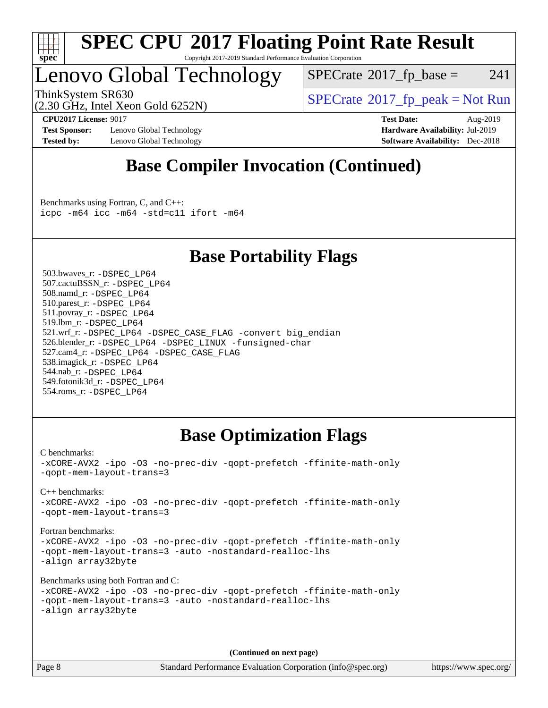

#### **[SPEC CPU](http://www.spec.org/auto/cpu2017/Docs/result-fields.html#SPECCPU2017FloatingPointRateResult)[2017 Floating Point Rate Result](http://www.spec.org/auto/cpu2017/Docs/result-fields.html#SPECCPU2017FloatingPointRateResult)** Copyright 2017-2019 Standard Performance Evaluation Corporation

## Lenovo Global Technology

 $SPECTate@2017_fp\_base = 241$ 

(2.30 GHz, Intel Xeon Gold 6252N)

ThinkSystem SR630<br>  $SPECTI<sub>2</sub> Intel YesO (3146252N)$ <br>  $SPECTI<sub>2</sub> Intel YesO (3146252N)$ 

**[Test Sponsor:](http://www.spec.org/auto/cpu2017/Docs/result-fields.html#TestSponsor)** Lenovo Global Technology **[Hardware Availability:](http://www.spec.org/auto/cpu2017/Docs/result-fields.html#HardwareAvailability)** Jul-2019 **[Tested by:](http://www.spec.org/auto/cpu2017/Docs/result-fields.html#Testedby)** Lenovo Global Technology **[Software Availability:](http://www.spec.org/auto/cpu2017/Docs/result-fields.html#SoftwareAvailability)** Dec-2018

**[CPU2017 License:](http://www.spec.org/auto/cpu2017/Docs/result-fields.html#CPU2017License)** 9017 **[Test Date:](http://www.spec.org/auto/cpu2017/Docs/result-fields.html#TestDate)** Aug-2019

## **[Base Compiler Invocation \(Continued\)](http://www.spec.org/auto/cpu2017/Docs/result-fields.html#BaseCompilerInvocation)**

[Benchmarks using Fortran, C, and C++:](http://www.spec.org/auto/cpu2017/Docs/result-fields.html#BenchmarksusingFortranCandCXX) [icpc -m64](http://www.spec.org/cpu2017/results/res2019q3/cpu2017-20190819-17103.flags.html#user_CC_CXX_FCbase_intel_icpc_64bit_4ecb2543ae3f1412ef961e0650ca070fec7b7afdcd6ed48761b84423119d1bf6bdf5cad15b44d48e7256388bc77273b966e5eb805aefd121eb22e9299b2ec9d9) [icc -m64 -std=c11](http://www.spec.org/cpu2017/results/res2019q3/cpu2017-20190819-17103.flags.html#user_CC_CXX_FCbase_intel_icc_64bit_c11_33ee0cdaae7deeeab2a9725423ba97205ce30f63b9926c2519791662299b76a0318f32ddfffdc46587804de3178b4f9328c46fa7c2b0cd779d7a61945c91cd35) [ifort -m64](http://www.spec.org/cpu2017/results/res2019q3/cpu2017-20190819-17103.flags.html#user_CC_CXX_FCbase_intel_ifort_64bit_24f2bb282fbaeffd6157abe4f878425411749daecae9a33200eee2bee2fe76f3b89351d69a8130dd5949958ce389cf37ff59a95e7a40d588e8d3a57e0c3fd751)

## **[Base Portability Flags](http://www.spec.org/auto/cpu2017/Docs/result-fields.html#BasePortabilityFlags)**

 503.bwaves\_r: [-DSPEC\\_LP64](http://www.spec.org/cpu2017/results/res2019q3/cpu2017-20190819-17103.flags.html#suite_basePORTABILITY503_bwaves_r_DSPEC_LP64) 507.cactuBSSN\_r: [-DSPEC\\_LP64](http://www.spec.org/cpu2017/results/res2019q3/cpu2017-20190819-17103.flags.html#suite_basePORTABILITY507_cactuBSSN_r_DSPEC_LP64) 508.namd\_r: [-DSPEC\\_LP64](http://www.spec.org/cpu2017/results/res2019q3/cpu2017-20190819-17103.flags.html#suite_basePORTABILITY508_namd_r_DSPEC_LP64) 510.parest\_r: [-DSPEC\\_LP64](http://www.spec.org/cpu2017/results/res2019q3/cpu2017-20190819-17103.flags.html#suite_basePORTABILITY510_parest_r_DSPEC_LP64) 511.povray\_r: [-DSPEC\\_LP64](http://www.spec.org/cpu2017/results/res2019q3/cpu2017-20190819-17103.flags.html#suite_basePORTABILITY511_povray_r_DSPEC_LP64) 519.lbm\_r: [-DSPEC\\_LP64](http://www.spec.org/cpu2017/results/res2019q3/cpu2017-20190819-17103.flags.html#suite_basePORTABILITY519_lbm_r_DSPEC_LP64) 521.wrf\_r: [-DSPEC\\_LP64](http://www.spec.org/cpu2017/results/res2019q3/cpu2017-20190819-17103.flags.html#suite_basePORTABILITY521_wrf_r_DSPEC_LP64) [-DSPEC\\_CASE\\_FLAG](http://www.spec.org/cpu2017/results/res2019q3/cpu2017-20190819-17103.flags.html#b521.wrf_r_baseCPORTABILITY_DSPEC_CASE_FLAG) [-convert big\\_endian](http://www.spec.org/cpu2017/results/res2019q3/cpu2017-20190819-17103.flags.html#user_baseFPORTABILITY521_wrf_r_convert_big_endian_c3194028bc08c63ac5d04de18c48ce6d347e4e562e8892b8bdbdc0214820426deb8554edfa529a3fb25a586e65a3d812c835984020483e7e73212c4d31a38223) 526.blender\_r: [-DSPEC\\_LP64](http://www.spec.org/cpu2017/results/res2019q3/cpu2017-20190819-17103.flags.html#suite_basePORTABILITY526_blender_r_DSPEC_LP64) [-DSPEC\\_LINUX](http://www.spec.org/cpu2017/results/res2019q3/cpu2017-20190819-17103.flags.html#b526.blender_r_baseCPORTABILITY_DSPEC_LINUX) [-funsigned-char](http://www.spec.org/cpu2017/results/res2019q3/cpu2017-20190819-17103.flags.html#user_baseCPORTABILITY526_blender_r_force_uchar_40c60f00ab013830e2dd6774aeded3ff59883ba5a1fc5fc14077f794d777847726e2a5858cbc7672e36e1b067e7e5c1d9a74f7176df07886a243d7cc18edfe67) 527.cam4\_r: [-DSPEC\\_LP64](http://www.spec.org/cpu2017/results/res2019q3/cpu2017-20190819-17103.flags.html#suite_basePORTABILITY527_cam4_r_DSPEC_LP64) [-DSPEC\\_CASE\\_FLAG](http://www.spec.org/cpu2017/results/res2019q3/cpu2017-20190819-17103.flags.html#b527.cam4_r_baseCPORTABILITY_DSPEC_CASE_FLAG) 538.imagick\_r: [-DSPEC\\_LP64](http://www.spec.org/cpu2017/results/res2019q3/cpu2017-20190819-17103.flags.html#suite_basePORTABILITY538_imagick_r_DSPEC_LP64) 544.nab\_r: [-DSPEC\\_LP64](http://www.spec.org/cpu2017/results/res2019q3/cpu2017-20190819-17103.flags.html#suite_basePORTABILITY544_nab_r_DSPEC_LP64) 549.fotonik3d\_r: [-DSPEC\\_LP64](http://www.spec.org/cpu2017/results/res2019q3/cpu2017-20190819-17103.flags.html#suite_basePORTABILITY549_fotonik3d_r_DSPEC_LP64) 554.roms\_r: [-DSPEC\\_LP64](http://www.spec.org/cpu2017/results/res2019q3/cpu2017-20190819-17103.flags.html#suite_basePORTABILITY554_roms_r_DSPEC_LP64)

## **[Base Optimization Flags](http://www.spec.org/auto/cpu2017/Docs/result-fields.html#BaseOptimizationFlags)**

[C benchmarks](http://www.spec.org/auto/cpu2017/Docs/result-fields.html#Cbenchmarks): [-xCORE-AVX2](http://www.spec.org/cpu2017/results/res2019q3/cpu2017-20190819-17103.flags.html#user_CCbase_f-xCORE-AVX2) [-ipo](http://www.spec.org/cpu2017/results/res2019q3/cpu2017-20190819-17103.flags.html#user_CCbase_f-ipo) [-O3](http://www.spec.org/cpu2017/results/res2019q3/cpu2017-20190819-17103.flags.html#user_CCbase_f-O3) [-no-prec-div](http://www.spec.org/cpu2017/results/res2019q3/cpu2017-20190819-17103.flags.html#user_CCbase_f-no-prec-div) [-qopt-prefetch](http://www.spec.org/cpu2017/results/res2019q3/cpu2017-20190819-17103.flags.html#user_CCbase_f-qopt-prefetch) [-ffinite-math-only](http://www.spec.org/cpu2017/results/res2019q3/cpu2017-20190819-17103.flags.html#user_CCbase_f_finite_math_only_cb91587bd2077682c4b38af759c288ed7c732db004271a9512da14a4f8007909a5f1427ecbf1a0fb78ff2a814402c6114ac565ca162485bbcae155b5e4258871) [-qopt-mem-layout-trans=3](http://www.spec.org/cpu2017/results/res2019q3/cpu2017-20190819-17103.flags.html#user_CCbase_f-qopt-mem-layout-trans_de80db37974c74b1f0e20d883f0b675c88c3b01e9d123adea9b28688d64333345fb62bc4a798493513fdb68f60282f9a726aa07f478b2f7113531aecce732043) [C++ benchmarks:](http://www.spec.org/auto/cpu2017/Docs/result-fields.html#CXXbenchmarks) [-xCORE-AVX2](http://www.spec.org/cpu2017/results/res2019q3/cpu2017-20190819-17103.flags.html#user_CXXbase_f-xCORE-AVX2) [-ipo](http://www.spec.org/cpu2017/results/res2019q3/cpu2017-20190819-17103.flags.html#user_CXXbase_f-ipo) [-O3](http://www.spec.org/cpu2017/results/res2019q3/cpu2017-20190819-17103.flags.html#user_CXXbase_f-O3) [-no-prec-div](http://www.spec.org/cpu2017/results/res2019q3/cpu2017-20190819-17103.flags.html#user_CXXbase_f-no-prec-div) [-qopt-prefetch](http://www.spec.org/cpu2017/results/res2019q3/cpu2017-20190819-17103.flags.html#user_CXXbase_f-qopt-prefetch) [-ffinite-math-only](http://www.spec.org/cpu2017/results/res2019q3/cpu2017-20190819-17103.flags.html#user_CXXbase_f_finite_math_only_cb91587bd2077682c4b38af759c288ed7c732db004271a9512da14a4f8007909a5f1427ecbf1a0fb78ff2a814402c6114ac565ca162485bbcae155b5e4258871) [-qopt-mem-layout-trans=3](http://www.spec.org/cpu2017/results/res2019q3/cpu2017-20190819-17103.flags.html#user_CXXbase_f-qopt-mem-layout-trans_de80db37974c74b1f0e20d883f0b675c88c3b01e9d123adea9b28688d64333345fb62bc4a798493513fdb68f60282f9a726aa07f478b2f7113531aecce732043) [Fortran benchmarks](http://www.spec.org/auto/cpu2017/Docs/result-fields.html#Fortranbenchmarks): [-xCORE-AVX2](http://www.spec.org/cpu2017/results/res2019q3/cpu2017-20190819-17103.flags.html#user_FCbase_f-xCORE-AVX2) [-ipo](http://www.spec.org/cpu2017/results/res2019q3/cpu2017-20190819-17103.flags.html#user_FCbase_f-ipo) [-O3](http://www.spec.org/cpu2017/results/res2019q3/cpu2017-20190819-17103.flags.html#user_FCbase_f-O3) [-no-prec-div](http://www.spec.org/cpu2017/results/res2019q3/cpu2017-20190819-17103.flags.html#user_FCbase_f-no-prec-div) [-qopt-prefetch](http://www.spec.org/cpu2017/results/res2019q3/cpu2017-20190819-17103.flags.html#user_FCbase_f-qopt-prefetch) [-ffinite-math-only](http://www.spec.org/cpu2017/results/res2019q3/cpu2017-20190819-17103.flags.html#user_FCbase_f_finite_math_only_cb91587bd2077682c4b38af759c288ed7c732db004271a9512da14a4f8007909a5f1427ecbf1a0fb78ff2a814402c6114ac565ca162485bbcae155b5e4258871) [-qopt-mem-layout-trans=3](http://www.spec.org/cpu2017/results/res2019q3/cpu2017-20190819-17103.flags.html#user_FCbase_f-qopt-mem-layout-trans_de80db37974c74b1f0e20d883f0b675c88c3b01e9d123adea9b28688d64333345fb62bc4a798493513fdb68f60282f9a726aa07f478b2f7113531aecce732043) [-auto](http://www.spec.org/cpu2017/results/res2019q3/cpu2017-20190819-17103.flags.html#user_FCbase_f-auto) [-nostandard-realloc-lhs](http://www.spec.org/cpu2017/results/res2019q3/cpu2017-20190819-17103.flags.html#user_FCbase_f_2003_std_realloc_82b4557e90729c0f113870c07e44d33d6f5a304b4f63d4c15d2d0f1fab99f5daaed73bdb9275d9ae411527f28b936061aa8b9c8f2d63842963b95c9dd6426b8a) [-align array32byte](http://www.spec.org/cpu2017/results/res2019q3/cpu2017-20190819-17103.flags.html#user_FCbase_align_array32byte_b982fe038af199962ba9a80c053b8342c548c85b40b8e86eb3cc33dee0d7986a4af373ac2d51c3f7cf710a18d62fdce2948f201cd044323541f22fc0fffc51b6) [Benchmarks using both Fortran and C](http://www.spec.org/auto/cpu2017/Docs/result-fields.html#BenchmarksusingbothFortranandC): [-xCORE-AVX2](http://www.spec.org/cpu2017/results/res2019q3/cpu2017-20190819-17103.flags.html#user_CC_FCbase_f-xCORE-AVX2) [-ipo](http://www.spec.org/cpu2017/results/res2019q3/cpu2017-20190819-17103.flags.html#user_CC_FCbase_f-ipo) [-O3](http://www.spec.org/cpu2017/results/res2019q3/cpu2017-20190819-17103.flags.html#user_CC_FCbase_f-O3) [-no-prec-div](http://www.spec.org/cpu2017/results/res2019q3/cpu2017-20190819-17103.flags.html#user_CC_FCbase_f-no-prec-div) [-qopt-prefetch](http://www.spec.org/cpu2017/results/res2019q3/cpu2017-20190819-17103.flags.html#user_CC_FCbase_f-qopt-prefetch) [-ffinite-math-only](http://www.spec.org/cpu2017/results/res2019q3/cpu2017-20190819-17103.flags.html#user_CC_FCbase_f_finite_math_only_cb91587bd2077682c4b38af759c288ed7c732db004271a9512da14a4f8007909a5f1427ecbf1a0fb78ff2a814402c6114ac565ca162485bbcae155b5e4258871) [-qopt-mem-layout-trans=3](http://www.spec.org/cpu2017/results/res2019q3/cpu2017-20190819-17103.flags.html#user_CC_FCbase_f-qopt-mem-layout-trans_de80db37974c74b1f0e20d883f0b675c88c3b01e9d123adea9b28688d64333345fb62bc4a798493513fdb68f60282f9a726aa07f478b2f7113531aecce732043) [-auto](http://www.spec.org/cpu2017/results/res2019q3/cpu2017-20190819-17103.flags.html#user_CC_FCbase_f-auto) [-nostandard-realloc-lhs](http://www.spec.org/cpu2017/results/res2019q3/cpu2017-20190819-17103.flags.html#user_CC_FCbase_f_2003_std_realloc_82b4557e90729c0f113870c07e44d33d6f5a304b4f63d4c15d2d0f1fab99f5daaed73bdb9275d9ae411527f28b936061aa8b9c8f2d63842963b95c9dd6426b8a) [-align array32byte](http://www.spec.org/cpu2017/results/res2019q3/cpu2017-20190819-17103.flags.html#user_CC_FCbase_align_array32byte_b982fe038af199962ba9a80c053b8342c548c85b40b8e86eb3cc33dee0d7986a4af373ac2d51c3f7cf710a18d62fdce2948f201cd044323541f22fc0fffc51b6)

**(Continued on next page)**